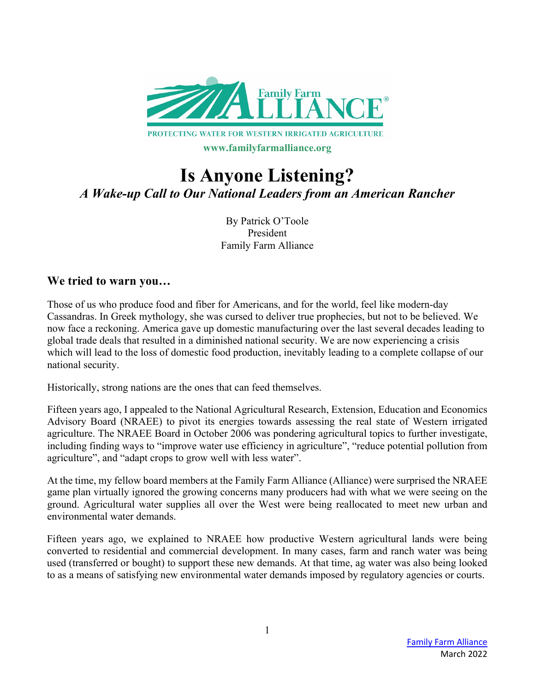

# **Is Anyone Listening?** *A Wake-up Call to Our National Leaders from an American Rancher*

By Patrick O'Toole President Family Farm Alliance

#### **We tried to warn you…**

Those of us who produce food and fiber for Americans, and for the world, feel like modern-day Cassandras. In Greek mythology, she was cursed to deliver true prophecies, but not to be believed. We now face a reckoning. America gave up domestic manufacturing over the last several decades leading to global trade deals that resulted in a diminished national security. We are now experiencing a crisis which will lead to the loss of domestic food production, inevitably leading to a complete collapse of our national security.

Historically, strong nations are the ones that can feed themselves.

Fifteen years ago, I appealed to the National Agricultural Research, Extension, Education and Economics Advisory Board (NRAEE) to pivot its energies towards assessing the real state of Western irrigated agriculture. The NRAEE Board in October 2006 was pondering agricultural topics to further investigate, including finding ways to "improve water use efficiency in agriculture", "reduce potential pollution from agriculture", and "adapt crops to grow well with less water".

At the time, my fellow board members at the Family Farm Alliance (Alliance) were surprised the NRAEE game plan virtually ignored the growing concerns many producers had with what we were seeing on the ground. Agricultural water supplies all over the West were being reallocated to meet new urban and environmental water demands.

Fifteen years ago, we explained to NRAEE how productive Western agricultural lands were being converted to residential and commercial development. In many cases, farm and ranch water was being used (transferred or bought) to support these new demands. At that time, ag water was also being looked to as a means of satisfying new environmental water demands imposed by regulatory agencies or courts.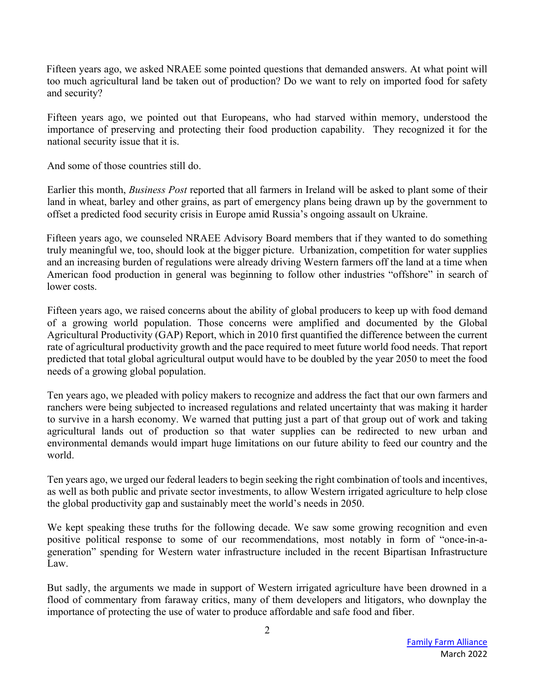Fifteen years ago, we asked NRAEE some pointed questions that demanded answers. At what point will too much agricultural land be taken out of production? Do we want to rely on imported food for safety and security?

Fifteen years ago, we pointed out that Europeans, who had starved within memory, understood the importance of preserving and protecting their food production capability. They recognized it for the national security issue that it is.

And some of those countries still do.

Earlier this month, *Business Post* reported that all farmers in Ireland will be asked to plant some of their land in wheat, barley and other grains, as part of emergency plans being drawn up by the government to offset a predicted food security crisis in Europe amid Russia's ongoing assault on Ukraine.

Fifteen years ago, we counseled NRAEE Advisory Board members that if they wanted to do something truly meaningful we, too, should look at the bigger picture. Urbanization, competition for water supplies and an increasing burden of regulations were already driving Western farmers off the land at a time when American food production in general was beginning to follow other industries "offshore" in search of lower costs.

Fifteen years ago, we raised concerns about the ability of global producers to keep up with food demand of a growing world population. Those concerns were amplified and documented by the Global Agricultural Productivity (GAP) Report, which in 2010 first quantified the difference between the current rate of agricultural productivity growth and the pace required to meet future world food needs. That report predicted that total global agricultural output would have to be doubled by the year 2050 to meet the food needs of a growing global population.

Ten years ago, we pleaded with policy makers to recognize and address the fact that our own farmers and ranchers were being subjected to increased regulations and related uncertainty that was making it harder to survive in a harsh economy. We warned that putting just a part of that group out of work and taking agricultural lands out of production so that water supplies can be redirected to new urban and environmental demands would impart huge limitations on our future ability to feed our country and the world.

Ten years ago, we urged our federal leaders to begin seeking the right combination of tools and incentives, as well as both public and private sector investments, to allow Western irrigated agriculture to help close the global productivity gap and sustainably meet the world's needs in 2050.

We kept speaking these truths for the following decade. We saw some growing recognition and even positive political response to some of our recommendations, most notably in form of "once-in-ageneration" spending for Western water infrastructure included in the recent Bipartisan Infrastructure Law.

But sadly, the arguments we made in support of Western irrigated agriculture have been drowned in a flood of commentary from faraway critics, many of them developers and litigators, who downplay the importance of protecting the use of water to produce affordable and safe food and fiber.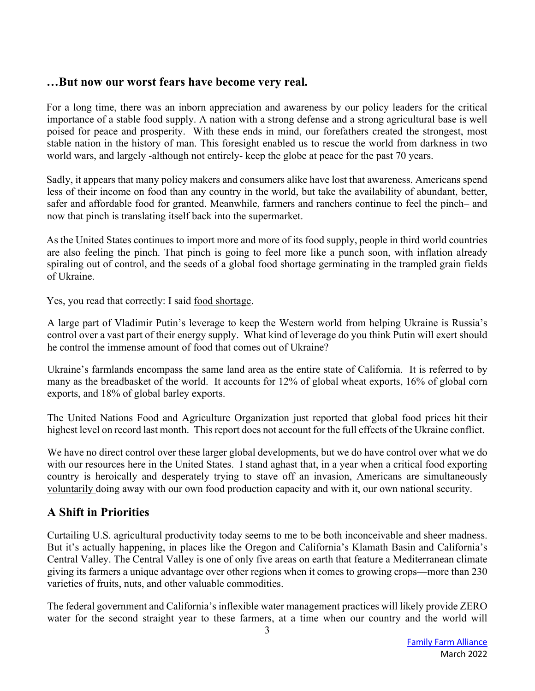## **…But now our worst fears have become very real.**

For a long time, there was an inborn appreciation and awareness by our policy leaders for the critical importance of a stable food supply. A nation with a strong defense and a strong agricultural base is well poised for peace and prosperity. With these ends in mind, our forefathers created the strongest, most stable nation in the history of man. This foresight enabled us to rescue the world from darkness in two world wars, and largely -although not entirely- keep the globe at peace for the past 70 years.

Sadly, it appears that many policy makers and consumers alike have lost that awareness. Americans spend less of their income on food than any country in the world, but take the availability of abundant, better, safer and affordable food for granted. Meanwhile, farmers and ranchers continue to feel the pinch– and now that pinch is translating itself back into the supermarket.

As the United States continues to import more and more of its food supply, people in third world countries are also feeling the pinch. That pinch is going to feel more like a punch soon, with inflation already spiraling out of control, and the seeds of a global food shortage germinating in the trampled grain fields of Ukraine.

Yes, you read that correctly: I said food shortage.

A large part of Vladimir Putin's leverage to keep the Western world from helping Ukraine is Russia's control over a vast part of their energy supply. What kind of leverage do you think Putin will exert should he control the immense amount of food that comes out of Ukraine?

Ukraine's farmlands encompass the same land area as the entire state of California. It is referred to by many as the breadbasket of the world. It accounts for 12% of global wheat exports, 16% of global corn exports, and 18% of global barley exports.

The United Nations Food and Agriculture Organization just reported that global food prices hit their highest level on record last month. This report does not account for the full effects of the Ukraine conflict.

We have no direct control over these larger global developments, but we do have control over what we do with our resources here in the United States. I stand aghast that, in a year when a critical food exporting country is heroically and desperately trying to stave off an invasion, Americans are simultaneously voluntarily doing away with our own food production capacity and with it, our own national security.

## **A Shift in Priorities**

Curtailing U.S. agricultural productivity today seems to me to be both inconceivable and sheer madness. But it's actually happening, in places like the Oregon and California's Klamath Basin and California's Central Valley. The Central Valley is one of only five areas on earth that feature a Mediterranean climate giving its farmers a unique advantage over other regions when it comes to growing crops—more than 230 varieties of fruits, nuts, and other valuable commodities.

The federal government and California's inflexible water management practices will likely provide ZERO water for the second straight year to these farmers, at a time when our country and the world will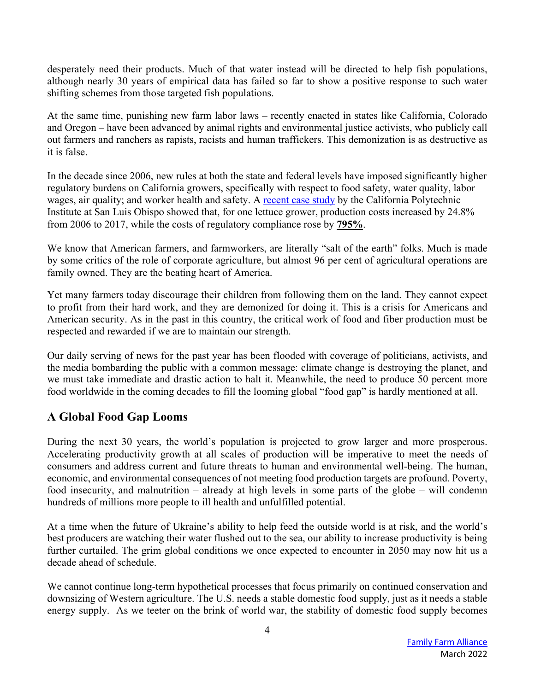desperately need their products. Much of that water instead will be directed to help fish populations, although nearly 30 years of empirical data has failed so far to show a positive response to such water shifting schemes from those targeted fish populations.

At the same time, punishing new farm labor laws – recently enacted in states like California, Colorado and Oregon – have been advanced by animal rights and environmental justice activists, who publicly call out farmers and ranchers as rapists, racists and human traffickers. This demonization is as destructive as it is false.

In the decade since 2006, new rules at both the state and federal levels have imposed significantly higher regulatory burdens on California growers, specifically with respect to food safety, water quality, labor wages, air quality; and worker health and safety. A recent case study by the California Polytechnic Institute at San Luis Obispo showed that, for one lettuce grower, production costs increased by 24.8% from 2006 to 2017, while the costs of regulatory compliance rose by **795%**.

We know that American farmers, and farmworkers, are literally "salt of the earth" folks. Much is made by some critics of the role of corporate agriculture, but almost 96 per cent of agricultural operations are family owned. They are the beating heart of America.

Yet many farmers today discourage their children from following them on the land. They cannot expect to profit from their hard work, and they are demonized for doing it. This is a crisis for Americans and American security. As in the past in this country, the critical work of food and fiber production must be respected and rewarded if we are to maintain our strength.

Our daily serving of news for the past year has been flooded with coverage of politicians, activists, and the media bombarding the public with a common message: climate change is destroying the planet, and we must take immediate and drastic action to halt it. Meanwhile, the need to produce 50 percent more food worldwide in the coming decades to fill the looming global "food gap" is hardly mentioned at all.

## **A Global Food Gap Looms**

During the next 30 years, the world's population is projected to grow larger and more prosperous. Accelerating productivity growth at all scales of production will be imperative to meet the needs of consumers and address current and future threats to human and environmental well-being. The human, economic, and environmental consequences of not meeting food production targets are profound. Poverty, food insecurity, and malnutrition – already at high levels in some parts of the globe – will condemn hundreds of millions more people to ill health and unfulfilled potential.

At a time when the future of Ukraine's ability to help feed the outside world is at risk, and the world's best producers are watching their water flushed out to the sea, our ability to increase productivity is being further curtailed. The grim global conditions we once expected to encounter in 2050 may now hit us a decade ahead of schedule.

We cannot continue long-term hypothetical processes that focus primarily on continued conservation and downsizing of Western agriculture. The U.S. needs a stable domestic food supply, just as it needs a stable energy supply. As we teeter on the brink of world war, the stability of domestic food supply becomes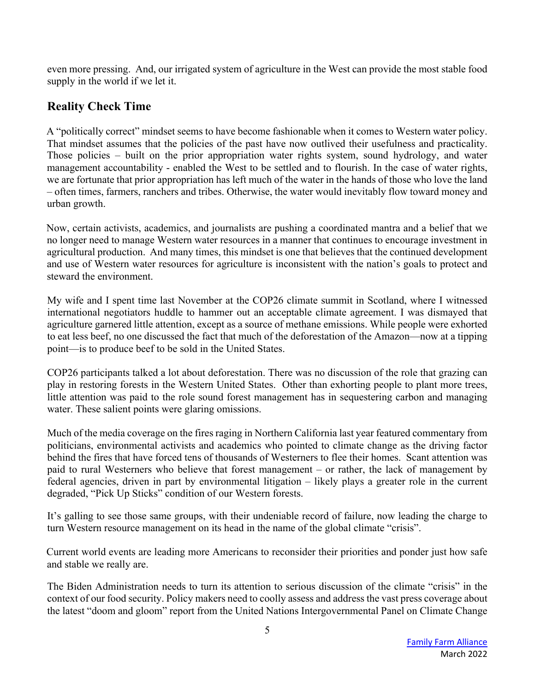even more pressing. And, our irrigated system of agriculture in the West can provide the most stable food supply in the world if we let it.

## **Reality Check Time**

A "politically correct" mindset seems to have become fashionable when it comes to Western water policy. That mindset assumes that the policies of the past have now outlived their usefulness and practicality. Those policies – built on the prior appropriation water rights system, sound hydrology, and water management accountability - enabled the West to be settled and to flourish. In the case of water rights, we are fortunate that prior appropriation has left much of the water in the hands of those who love the land – often times, farmers, ranchers and tribes. Otherwise, the water would inevitably flow toward money and urban growth.

Now, certain activists, academics, and journalists are pushing a coordinated mantra and a belief that we no longer need to manage Western water resources in a manner that continues to encourage investment in agricultural production. And many times, this mindset is one that believes that the continued development and use of Western water resources for agriculture is inconsistent with the nation's goals to protect and steward the environment.

My wife and I spent time last November at the COP26 climate summit in Scotland, where I witnessed international negotiators huddle to hammer out an acceptable climate agreement. I was dismayed that agriculture garnered little attention, except as a source of methane emissions. While people were exhorted to eat less beef, no one discussed the fact that much of the deforestation of the Amazon—now at a tipping point—is to produce beef to be sold in the United States.

COP26 participants talked a lot about deforestation. There was no discussion of the role that grazing can play in restoring forests in the Western United States. Other than exhorting people to plant more trees, little attention was paid to the role sound forest management has in sequestering carbon and managing water. These salient points were glaring omissions.

Much of the media coverage on the fires raging in Northern California last year featured commentary from politicians, environmental activists and academics who pointed to climate change as the driving factor behind the fires that have forced tens of thousands of Westerners to flee their homes. Scant attention was paid to rural Westerners who believe that forest management – or rather, the lack of management by federal agencies, driven in part by environmental litigation – likely plays a greater role in the current degraded, "Pick Up Sticks" condition of our Western forests.

It's galling to see those same groups, with their undeniable record of failure, now leading the charge to turn Western resource management on its head in the name of the global climate "crisis".

Current world events are leading more Americans to reconsider their priorities and ponder just how safe and stable we really are.

The Biden Administration needs to turn its attention to serious discussion of the climate "crisis" in the context of our food security. Policy makers need to coolly assess and address the vast press coverage about the latest "doom and gloom" report from the United Nations Intergovernmental Panel on Climate Change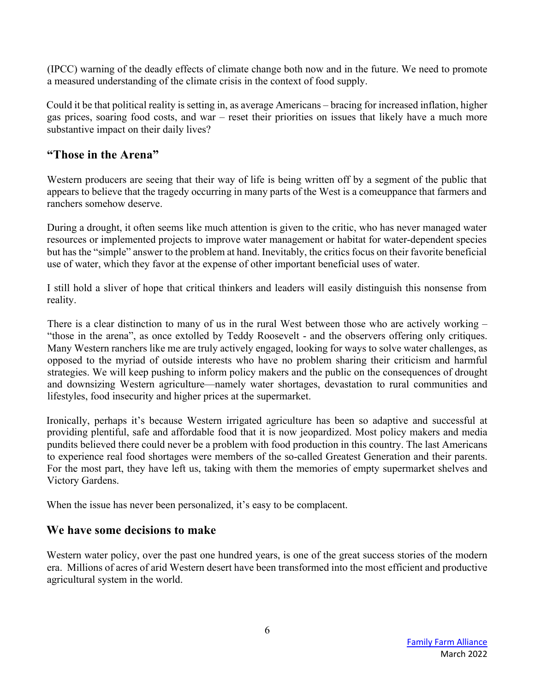(IPCC) warning of the deadly effects of climate change both now and in the future. We need to promote a measured understanding of the climate crisis in the context of food supply.

Could it be that political reality is setting in, as average Americans – bracing for increased inflation, higher gas prices, soaring food costs, and war – reset their priorities on issues that likely have a much more substantive impact on their daily lives?

## **"Those in the Arena"**

Western producers are seeing that their way of life is being written off by a segment of the public that appears to believe that the tragedy occurring in many parts of the West is a comeuppance that farmers and ranchers somehow deserve.

During a drought, it often seems like much attention is given to the critic, who has never managed water resources or implemented projects to improve water management or habitat for water-dependent species but has the "simple" answer to the problem at hand. Inevitably, the critics focus on their favorite beneficial use of water, which they favor at the expense of other important beneficial uses of water.

I still hold a sliver of hope that critical thinkers and leaders will easily distinguish this nonsense from reality.

There is a clear distinction to many of us in the rural West between those who are actively working – "those in the arena", as once extolled by Teddy Roosevelt - and the observers offering only critiques. Many Western ranchers like me are truly actively engaged, looking for ways to solve water challenges, as opposed to the myriad of outside interests who have no problem sharing their criticism and harmful strategies. We will keep pushing to inform policy makers and the public on the consequences of drought and downsizing Western agriculture—namely water shortages, devastation to rural communities and lifestyles, food insecurity and higher prices at the supermarket.

Ironically, perhaps it's because Western irrigated agriculture has been so adaptive and successful at providing plentiful, safe and affordable food that it is now jeopardized. Most policy makers and media pundits believed there could never be a problem with food production in this country. The last Americans to experience real food shortages were members of the so-called Greatest Generation and their parents. For the most part, they have left us, taking with them the memories of empty supermarket shelves and Victory Gardens.

When the issue has never been personalized, it's easy to be complacent.

#### **We have some decisions to make**

Western water policy, over the past one hundred years, is one of the great success stories of the modern era. Millions of acres of arid Western desert have been transformed into the most efficient and productive agricultural system in the world.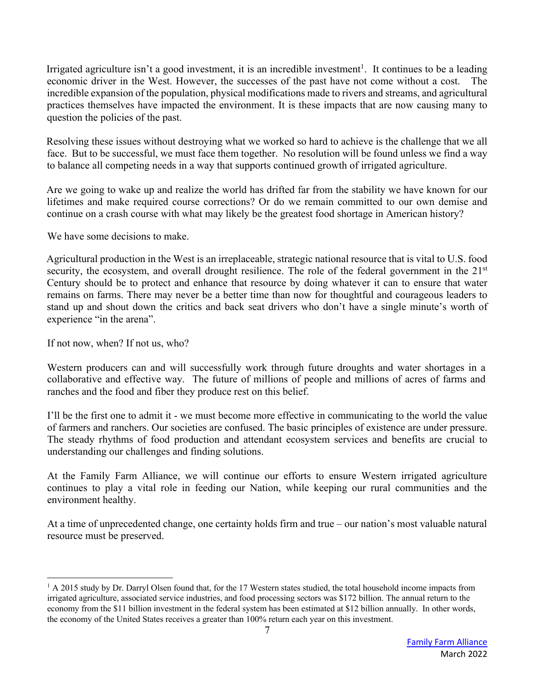Irrigated agriculture isn't a good investment, it is an incredible investment<sup>1</sup>. It continues to be a leading economic driver in the West. However, the successes of the past have not come without a cost. The incredible expansion of the population, physical modifications made to rivers and streams, and agricultural practices themselves have impacted the environment. It is these impacts that are now causing many to question the policies of the past.

Resolving these issues without destroying what we worked so hard to achieve is the challenge that we all face. But to be successful, we must face them together. No resolution will be found unless we find a way to balance all competing needs in a way that supports continued growth of irrigated agriculture.

Are we going to wake up and realize the world has drifted far from the stability we have known for our lifetimes and make required course corrections? Or do we remain committed to our own demise and continue on a crash course with what may likely be the greatest food shortage in American history?

We have some decisions to make.

Agricultural production in the West is an irreplaceable, strategic national resource that is vital to U.S. food security, the ecosystem, and overall drought resilience. The role of the federal government in the 21<sup>st</sup> Century should be to protect and enhance that resource by doing whatever it can to ensure that water remains on farms. There may never be a better time than now for thoughtful and courageous leaders to stand up and shout down the critics and back seat drivers who don't have a single minute's worth of experience "in the arena".

If not now, when? If not us, who?

Western producers can and will successfully work through future droughts and water shortages in a collaborative and effective way. The future of millions of people and millions of acres of farms and ranches and the food and fiber they produce rest on this belief.

I'll be the first one to admit it - we must become more effective in communicating to the world the value of farmers and ranchers. Our societies are confused. The basic principles of existence are under pressure. The steady rhythms of food production and attendant ecosystem services and benefits are crucial to understanding our challenges and finding solutions.

At the Family Farm Alliance, we will continue our efforts to ensure Western irrigated agriculture continues to play a vital role in feeding our Nation, while keeping our rural communities and the environment healthy.

At a time of unprecedented change, one certainty holds firm and true – our nation's most valuable natural resource must be preserved.

 $1 A 2015$  study by Dr. Darryl Olsen found that, for the 17 Western states studied, the total household income impacts from irrigated agriculture, associated service industries, and food processing sectors was \$172 billion. The annual return to the economy from the \$11 billion investment in the federal system has been estimated at \$12 billion annually. In other words, the economy of the United States receives a greater than 100% return each year on this investment.